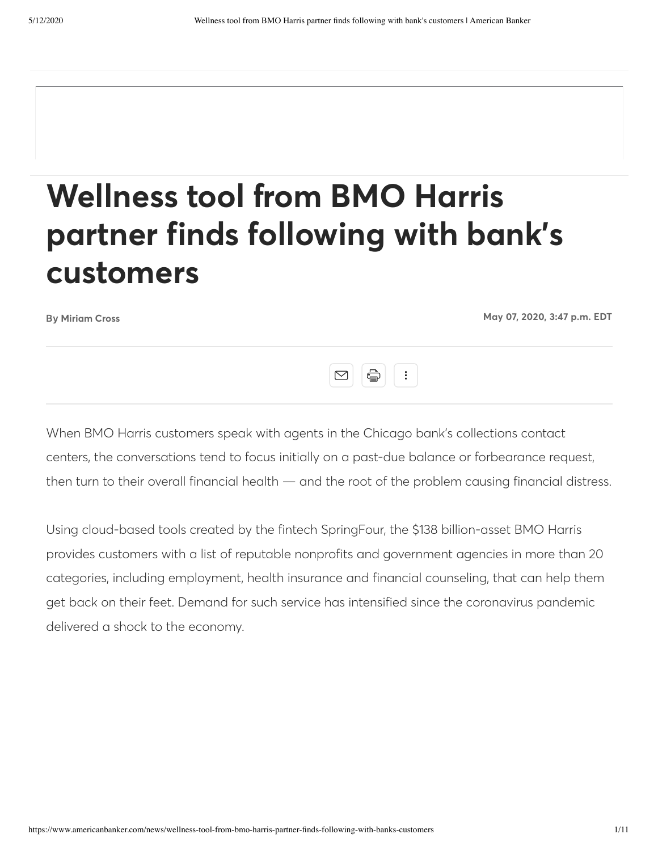# **Wellness tool from BMO Harris partner finds following with bank's customers**

By **[Miriam Cross](https://www.americanbanker.com/author/miriam-cross) May 07, 2020, 3:47 p.m. EDT**



When BMO Harris customers speak with agents in the Chicago bank's collections contact centers, the conversations tend to focus initially on a past-due balance or forbearance request, then turn to their overall financial health — and the root of the problem causing financial distress.

Using cloud-based tools created by the fintech SpringFour, the \$138 billion-asset BMO Harris provides customers with a list of reputable nonprofits and government agencies in more than 20 categories, including employment, health insurance and financial counseling, that can help them get back on their feet. Demand for such service has intensified since the coronavirus pandemic delivered a shock to the economy.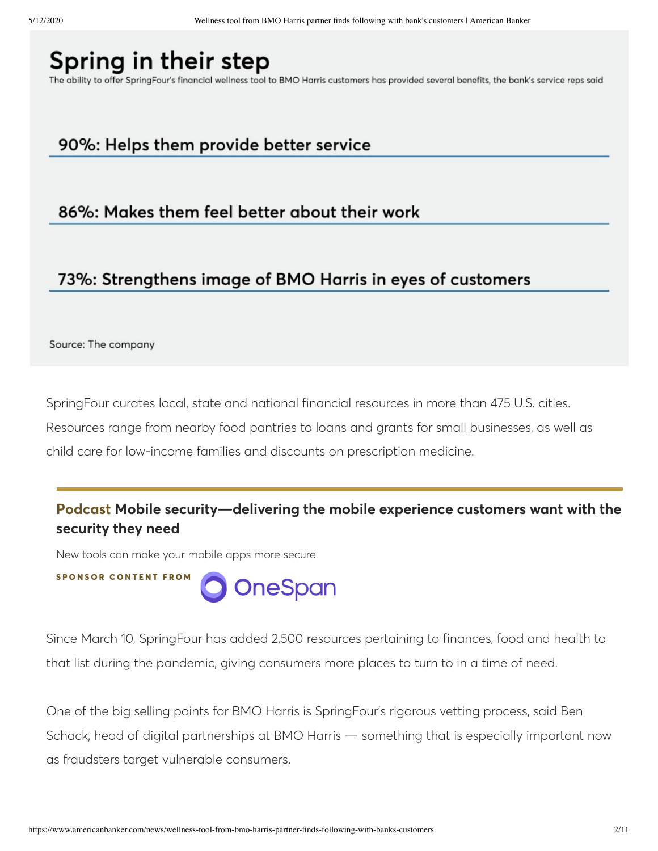# Spring in their step

The ability to offer SpringFour's financial wellness tool to BMO Harris customers has provided several benefits, the bank's service reps said

## 90%: Helps them provide better service

#### 86%: Makes them feel better about their work

### 73%: Strengthens image of BMO Harris in eyes of customers

Source: The company

SpringFour curates local, state and national financial resources in more than 475 U.S. cities. Resources range from nearby food pantries to loans and grants for small businesses, as well as child care for low-income families and discounts on prescription medicine.

#### **[Podcast Mobile security—delivering the mobile experience customers want with the](http://www.americanbanker.com/podcast/mobile-securitydelivering-the-mobile-experience-customers-want-with-the-security-they-need) security they need**

New tools can make your mobile apps more secure

**S P O N S O R C O N T E N T F R O MOneSpan** 

Since March 10, SpringFour has added 2,500 resources pertaining to finances, food and health to that list during the pandemic, giving consumers more places to turn to in a time of need.

One of the big selling points for BMO Harris is SpringFour's rigorous vetting process, said Ben Schack, head of digital partnerships at BMO Harris — something that is especially important now as fraudsters target vulnerable consumers.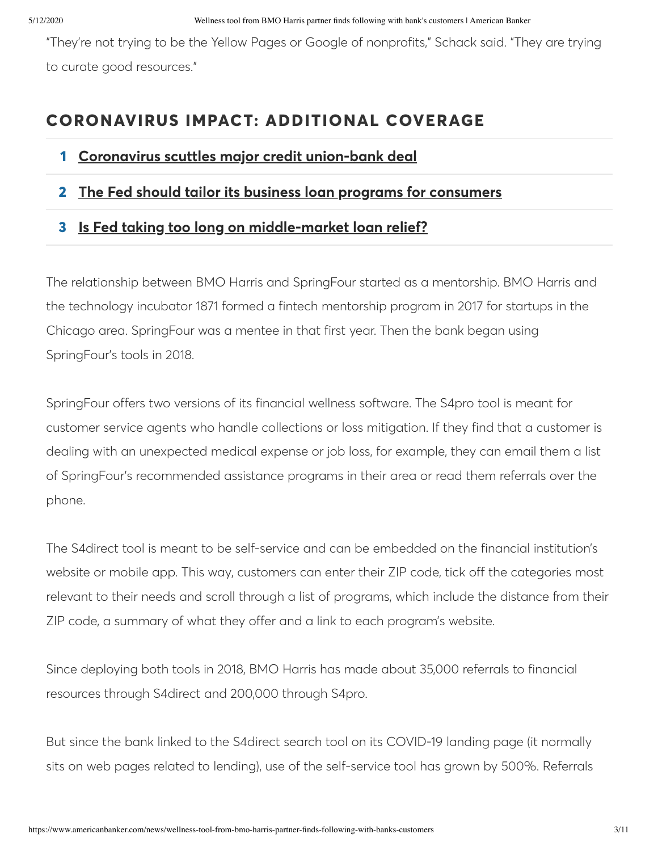"They're not trying to be the Yellow Pages or Google of nonprofits," Schack said. "They are trying to curate good resources."

# **CORONAVIRUS IMPACT: ADDITIONAL COVERAGE**

- **1 [Coronavirus scuttles major credit union-bank deal](https://www.americanbanker.com/news/coronavirus-scuttles-major-credit-union-bank-deal)**
- **2 [The Fed should tailor its business loan programs for consumers](https://www.americanbanker.com/opinion/the-fed-should-tailor-its-business-loan-programs-for-consumers)**
- **3 [Is Fed taking too long on middle-market loan relief?](https://www.americanbanker.com/news/is-fed-taking-too-long-on-middle-market-loan-relief)**

The relationship between BMO Harris and SpringFour started as a mentorship. BMO Harris and the technology incubator 1871 formed a fintech mentorship program in 2017 for startups in the Chicago area. SpringFour was a mentee in that first year. Then the bank began using SpringFour's tools in 2018.

SpringFour offers two versions of its financial wellness software. The S4pro tool is meant for customer service agents who handle collections or loss mitigation. If they find that a customer is dealing with an unexpected medical expense or job loss, for example, they can email them a list of SpringFour's recommended assistance programs in their area or read them referrals over the phone.

The S4direct tool is meant to be self-service and can be embedded on the financial institution's website or mobile app. This way, customers can enter their ZIP code, tick off the categories most relevant to their needs and scroll through a list of programs, which include the distance from their ZIP code, a summary of what they offer and a link to each program's website.

Since deploying both tools in 2018, BMO Harris has made about 35,000 referrals to financial resources through S4direct and 200,000 through S4pro.

But since the bank linked to the S4direct search tool on its COVID-19 landing page (it normally sits on web pages related to lending), use of the self-service tool has grown by 500%. Referrals